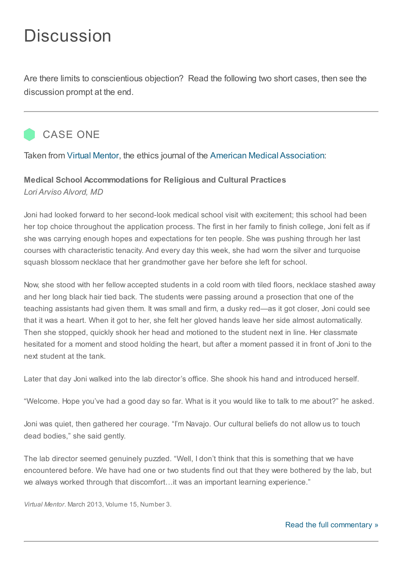## **Discussion**

Are there limits to conscientious objection? Read the following two short cases, then see the discussion prompt at the end.



Taken from Virtual [Mentor](http://virtualmentor.ama-assn.org/2003/02/ccas1-0302.html), the ethics journal of the American Medical Association:

## Medical School Accommodations for Religious and Cultural Practices Lori Arviso Alvord, MD

Joni had looked forward to her second-look medical school visit with excitement; this school had been her top choice throughout the application process. The first in her family to finish college, Joni felt as if she was carrying enough hopes and expectations for ten people. She was pushing through her last courses with characteristic tenacity. And every day this week, she had worn the silver and turquoise squash blossom necklace that her grandmother gave her before she left for school.

Now, she stood with her fellow accepted students in a cold room with tiled floors, necklace stashed away and her long black hair tied back. The students were passing around a prosection that one of the teaching assistants had given them. It was small and firm, a dusky red—as it got closer, Joni could see that it was a heart. When it got to her, she felt her gloved hands leave her side almost automatically. Then she stopped, quickly shook her head and motioned to the student next in line. Her classmate hesitated for a moment and stood holding the heart, but after a moment passed it in front of Joni to the next student at the tank.

Later that day Joni walked into the lab director's office. She shook his hand and introduced herself.

"Welcome. Hope you've had a good day so far. What is it you would like to talk to me about?" he asked.

Joni was quiet, then gathered her courage. "I'm Navajo. Our cultural beliefs do not allow us to touch dead bodies," she said gently.

The lab director seemed genuinely puzzled. "Well, I don't think that this is something that we have encountered before. We have had one or two students find out that they were bothered by the lab, but we always worked through that discomfort…it was an important learning experience."

Virtual Mentor. March 2013, Volume 15, Number 3.